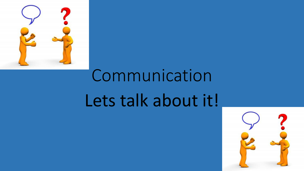

# Communication Lets talk about it!

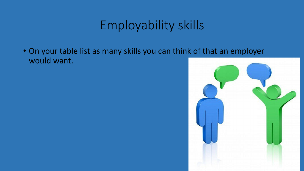## Employability skills

• On your table list as many skills you can think of that an employer would want.

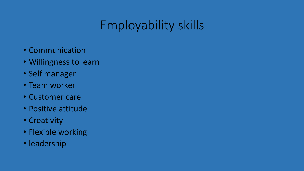# Employability skills

- Communication
- Willingness to learn
- Self manager
- Team worker
- Customer care
- Positive attitude
- Creativity
- Flexible working
- leadership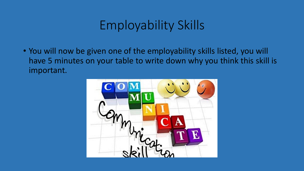## Employability Skills

• You will now be given one of the employability skills listed, you will have 5 minutes on your table to write down why you think this skill is important.

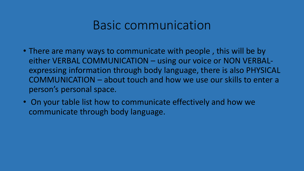#### Basic communication

- There are many ways to communicate with people , this will be by either VERBAL COMMUNICATION – using our voice or NON VERBALexpressing information through body language, there is also PHYSICAL COMMUNICATION – about touch and how we use our skills to enter a person's personal space.
- On your table list how to communicate effectively and how we communicate through body language.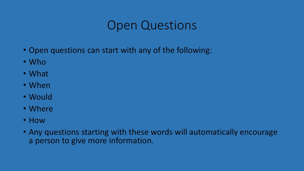## Open Questions

- Open questions can start with any of the following:
- Who
- What
- When
- Would
- Where
- How
- Any questions starting with these words will automatically encourage a person to give more information.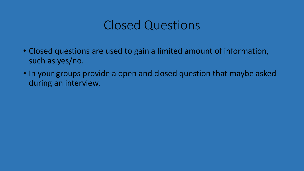### Closed Questions

- Closed questions are used to gain a limited amount of information, such as yes/no.
- In your groups provide a open and closed question that maybe asked during an interview.